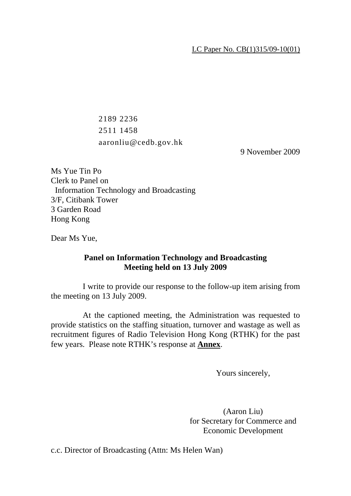## LC Paper No. CB(1)315/09-10(01)

 2189 2236 2511 1458 aaronliu@cedb.gov.hk

9 November 2009

Ms Yue Tin Po Clerk to Panel on Information Technology and Broadcasting 3/F, Citibank Tower 3 Garden Road Hong Kong

Dear Ms Yue,

## **Panel on Information Technology and Broadcasting Meeting held on 13 July 2009**

 I write to provide our response to the follow-up item arising from the meeting on 13 July 2009.

 At the captioned meeting, the Administration was requested to provide statistics on the staffing situation, turnover and wastage as well as recruitment figures of Radio Television Hong Kong (RTHK) for the past few years. Please note RTHK's response at **Annex**.

Yours sincerely,

(Aaron Liu) for Secretary for Commerce and Economic Development

c.c. Director of Broadcasting (Attn: Ms Helen Wan)